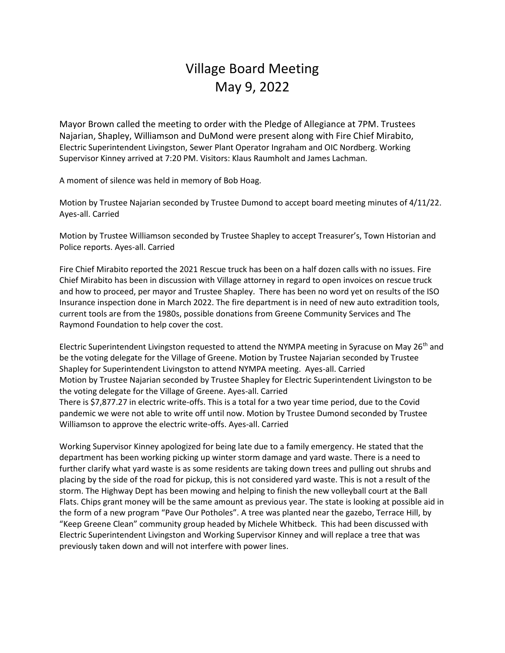## Village Board Meeting May 9, 2022

Mayor Brown called the meeting to order with the Pledge of Allegiance at 7PM. Trustees Najarian, Shapley, Williamson and DuMond were present along with Fire Chief Mirabito, Electric Superintendent Livingston, Sewer Plant Operator Ingraham and OIC Nordberg. Working Supervisor Kinney arrived at 7:20 PM. Visitors: Klaus Raumholt and James Lachman.

A moment of silence was held in memory of Bob Hoag.

Motion by Trustee Najarian seconded by Trustee Dumond to accept board meeting minutes of 4/11/22. Ayes-all. Carried

Motion by Trustee Williamson seconded by Trustee Shapley to accept Treasurer's, Town Historian and Police reports. Ayes-all. Carried

Fire Chief Mirabito reported the 2021 Rescue truck has been on a half dozen calls with no issues. Fire Chief Mirabito has been in discussion with Village attorney in regard to open invoices on rescue truck and how to proceed, per mayor and Trustee Shapley. There has been no word yet on results of the ISO Insurance inspection done in March 2022. The fire department is in need of new auto extradition tools, current tools are from the 1980s, possible donations from Greene Community Services and The Raymond Foundation to help cover the cost.

Electric Superintendent Livingston requested to attend the NYMPA meeting in Syracuse on May 26<sup>th</sup> and be the voting delegate for the Village of Greene. Motion by Trustee Najarian seconded by Trustee Shapley for Superintendent Livingston to attend NYMPA meeting. Ayes-all. Carried Motion by Trustee Najarian seconded by Trustee Shapley for Electric Superintendent Livingston to be the voting delegate for the Village of Greene. Ayes-all. Carried There is \$7,877.27 in electric write-offs. This is a total for a two year time period, due to the Covid pandemic we were not able to write off until now. Motion by Trustee Dumond seconded by Trustee Williamson to approve the electric write-offs. Ayes-all. Carried

Working Supervisor Kinney apologized for being late due to a family emergency. He stated that the department has been working picking up winter storm damage and yard waste. There is a need to further clarify what yard waste is as some residents are taking down trees and pulling out shrubs and placing by the side of the road for pickup, this is not considered yard waste. This is not a result of the storm. The Highway Dept has been mowing and helping to finish the new volleyball court at the Ball Flats. Chips grant money will be the same amount as previous year. The state is looking at possible aid in the form of a new program "Pave Our Potholes". A tree was planted near the gazebo, Terrace Hill, by "Keep Greene Clean" community group headed by Michele Whitbeck. This had been discussed with Electric Superintendent Livingston and Working Supervisor Kinney and will replace a tree that was previously taken down and will not interfere with power lines.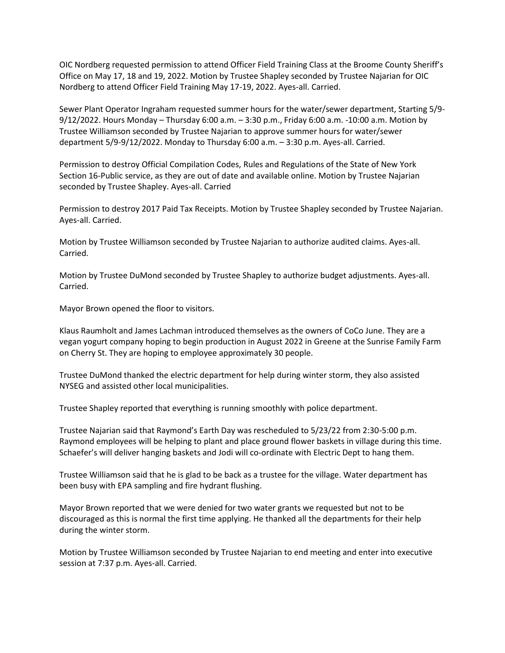OIC Nordberg requested permission to attend Officer Field Training Class at the Broome County Sheriff's Office on May 17, 18 and 19, 2022. Motion by Trustee Shapley seconded by Trustee Najarian for OIC Nordberg to attend Officer Field Training May 17-19, 2022. Ayes-all. Carried.

Sewer Plant Operator Ingraham requested summer hours for the water/sewer department, Starting 5/9- 9/12/2022. Hours Monday – Thursday 6:00 a.m. – 3:30 p.m., Friday 6:00 a.m. -10:00 a.m. Motion by Trustee Williamson seconded by Trustee Najarian to approve summer hours for water/sewer department 5/9-9/12/2022. Monday to Thursday 6:00 a.m. – 3:30 p.m. Ayes-all. Carried.

Permission to destroy Official Compilation Codes, Rules and Regulations of the State of New York Section 16-Public service, as they are out of date and available online. Motion by Trustee Najarian seconded by Trustee Shapley. Ayes-all. Carried

Permission to destroy 2017 Paid Tax Receipts. Motion by Trustee Shapley seconded by Trustee Najarian. Ayes-all. Carried.

Motion by Trustee Williamson seconded by Trustee Najarian to authorize audited claims. Ayes-all. Carried.

Motion by Trustee DuMond seconded by Trustee Shapley to authorize budget adjustments. Ayes-all. Carried.

Mayor Brown opened the floor to visitors.

Klaus Raumholt and James Lachman introduced themselves as the owners of CoCo June. They are a vegan yogurt company hoping to begin production in August 2022 in Greene at the Sunrise Family Farm on Cherry St. They are hoping to employee approximately 30 people.

Trustee DuMond thanked the electric department for help during winter storm, they also assisted NYSEG and assisted other local municipalities.

Trustee Shapley reported that everything is running smoothly with police department.

Trustee Najarian said that Raymond's Earth Day was rescheduled to 5/23/22 from 2:30-5:00 p.m. Raymond employees will be helping to plant and place ground flower baskets in village during this time. Schaefer's will deliver hanging baskets and Jodi will co-ordinate with Electric Dept to hang them.

Trustee Williamson said that he is glad to be back as a trustee for the village. Water department has been busy with EPA sampling and fire hydrant flushing.

Mayor Brown reported that we were denied for two water grants we requested but not to be discouraged as this is normal the first time applying. He thanked all the departments for their help during the winter storm.

Motion by Trustee Williamson seconded by Trustee Najarian to end meeting and enter into executive session at 7:37 p.m. Ayes-all. Carried.